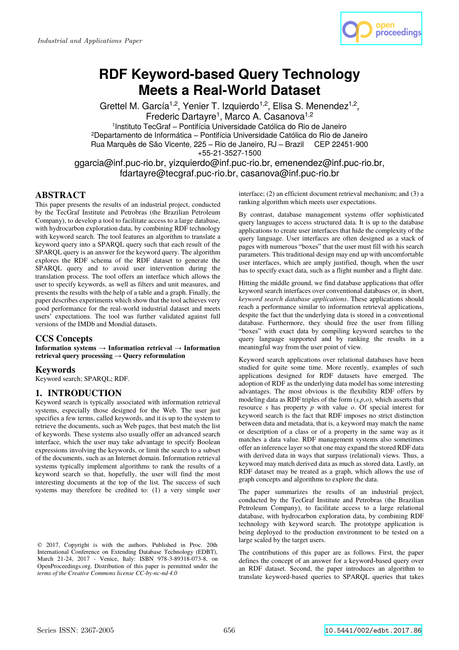

# **RDF Keyword-based Query Technology Meets a Real-World Dataset**

Grettel M. García<sup>1,2</sup>, Yenier T. Izquierdo<sup>1,2</sup>, Elisa S. Menendez<sup>1,2</sup>, Frederic Dartayre<sup>1</sup>, Marco A. Casanova<sup>1,2</sup> 1Instituto TecGraf – Pontifícia Universidade Católica do Rio de Janeiro 2Departamento de Informática – Pontifícia Universidade Católica do Rio de Janeiro Rua Marquês de São Vicente, 225 – Rio de Janeiro, RJ – Brazil CEP 22451-900 +55-21-3527-1500

ggarcia@inf.puc-rio.br, yizquierdo@inf.puc-rio.br, emenendez@inf.puc-rio.br, fdartayre@tecgraf.puc-rio.br, casanova@inf.puc-rio.br

## **ABSTRACT**

This paper presents the results of an industrial project, conducted by the TecGraf Institute and Petrobras (the Brazilian Petroleum Company), to develop a tool to facilitate access to a large database, with hydrocarbon exploration data, by combining RDF technology with keyword search. The tool features an algorithm to translate a keyword query into a SPARQL query such that each result of the SPARQL query is an answer for the keyword query. The algorithm explores the RDF schema of the RDF dataset to generate the SPARQL query and to avoid user intervention during the translation process. The tool offers an interface which allows the user to specify keywords, as well as filters and unit measures, and presents the results with the help of a table and a graph. Finally, the paper describes experiments which show that the tool achieves very good performance for the real-world industrial dataset and meets users' expectations. The tool was further validated against full versions of the IMDb and Mondial datasets.

## **CCS Concepts**

**Information systems → Information retrieval → Information retrieval query processing → Query reformulation**

## **Keywords**

Keyword search; SPARQL; RDF.

## **1. INTRODUCTION**

Keyword search is typically associated with information retrieval systems, especially those designed for the Web. The user just specifies a few terms, called keywords, and it is up to the system to retrieve the documents, such as Web pages, that best match the list of keywords. These systems also usually offer an advanced search interface, which the user may take advantage to specify Boolean expressions involving the keywords, or limit the search to a subset of the documents, such as an Internet domain. Information retrieval systems typically implement algorithms to rank the results of a keyword search so that, hopefully, the user will find the most interesting documents at the top of the list. The success of such systems may therefore be credited to: (1) a very simple user

© 2017, Copyright is with the authors. Published in Proc. 20th International Conference on Extending Database Technology (EDBT), March 21-24, 2017 - Venice, Italy: ISBN 978-3-89318-073-8, on OpenProceedings.org. Distribution of this paper is permitted under the *terms of the Creative Commons license CC-by-nc-nd 4.0*

interface; (2) an efficient document retrieval mechanism; and (3) a ranking algorithm which meets user expectations.

By contrast, database management systems offer sophisticated query languages to access structured data. It is up to the database applications to create user interfaces that hide the complexity of the query language. User interfaces are often designed as a stack of pages with numerous "boxes" that the user must fill with his search parameters. This traditional design may end up with uncomfortable user interfaces, which are amply justified, though, when the user has to specify exact data, such as a flight number and a flight date.

Hitting the middle ground, we find database applications that offer keyword search interfaces over conventional databases or, in short, *keyword search database applications*. These applications should reach a performance similar to information retrieval applications, despite the fact that the underlying data is stored in a conventional database. Furthermore, they should free the user from filling "boxes" with exact data by compiling keyword searches to the query language supported and by ranking the results in a meaningful way from the user point of view.

Keyword search applications over relational databases have been studied for quite some time. More recently, examples of such applications designed for RDF datasets have emerged. The adoption of RDF as the underlying data model has some interesting advantages. The most obvious is the flexibility RDF offers by modeling data as RDF triples of the form (*s,p,o*), which asserts that resource *s* has property *p* with value *o*. Of special interest for keyword search is the fact that RDF imposes no strict distinction between data and metadata, that is, a keyword may match the name or description of a class or of a property in the same way as it matches a data value. RDF management systems also sometimes offer an inference layer so that one may expand the stored RDF data with derived data in ways that surpass (relational) views. Thus, a keyword may match derived data as much as stored data. Lastly, an RDF dataset may be treated as a graph, which allows the use of graph concepts and algorithms to explore the data.

The paper summarizes the results of an industrial project, conducted by the TecGraf Institute and Petrobras (the Brazilian Petroleum Company), to facilitate access to a large relational database, with hydrocarbon exploration data, by combining RDF technology with keyword search. The prototype application is being deployed to the production environment to be tested on a large scaled by the target users.

The contributions of this paper are as follows. First, the paper defines the concept of an answer for a keyword-based query over an RDF dataset. Second, the paper introduces an algorithm to translate keyword-based queries to SPARQL queries that takes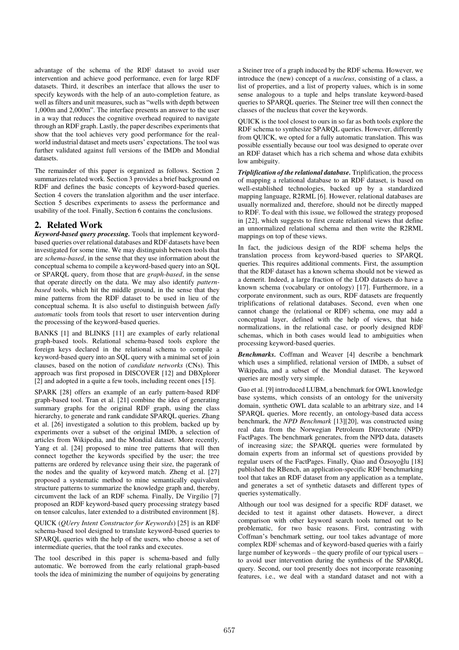advantage of the schema of the RDF dataset to avoid user intervention and achieve good performance, even for large RDF datasets. Third, it describes an interface that allows the user to specify keywords with the help of an auto-completion feature, as well as filters and unit measures, such as "wells with depth between 1,000m and 2,000m". The interface presents an answer to the user in a way that reduces the cognitive overhead required to navigate through an RDF graph. Lastly, the paper describes experiments that show that the tool achieves very good performance for the realworld industrial dataset and meets users' expectations. The tool was further validated against full versions of the IMDb and Mondial datasets.

The remainder of this paper is organized as follows. Section 2 summarizes related work. Section 3 provides a brief background on RDF and defines the basic concepts of keyword-based queries. Section 4 covers the translation algorithm and the user interface. Section 5 describes experiments to assess the performance and usability of the tool. Finally, Section 6 contains the conclusions.

## **2. Related Work**

*Keyword-based query processing.* Tools that implement keywordbased queries over relational databases and RDF datasets have been investigated for some time. We may distinguish between tools that are *schema-based*, in the sense that they use information about the conceptual schema to compile a keyword-based query into an SQL or SPARQL query, from those that are *graph-based*, in the sense that operate directly on the data. We may also identify *patternbased* tools, which hit the middle ground, in the sense that they mine patterns from the RDF dataset to be used in lieu of the conceptual schema. It is also useful to distinguish between *fully automatic* tools from tools that resort to user intervention during the processing of the keyword-based queries.

BANKS [1] and BLINKS [11] are examples of early relational graph-based tools. Relational schema-based tools explore the foreign keys declared in the relational schema to compile a keyword-based query into an SQL query with a minimal set of join clauses, based on the notion of *candidate networks* (CNs). This approach was first proposed in DISCOVER [12] and DBXplorer [2] and adopted in a quite a few tools, including recent ones [15].

SPARK [28] offers an example of an early pattern-based RDF graph-based tool. Tran et al. [21] combine the idea of generating summary graphs for the original RDF graph, using the class hierarchy, to generate and rank candidate SPARQL queries. Zhang et al. [26] investigated a solution to this problem, backed up by experiments over a subset of the original IMDb, a selection of articles from Wikipedia, and the Mondial dataset. More recently, Yang et al. [24] proposed to mine tree patterns that will then connect together the keywords specified by the user; the tree patterns are ordered by relevance using their size, the pagerank of the nodes and the quality of keyword match. Zheng et al. [27] proposed a systematic method to mine semantically equivalent structure patterns to summarize the knowledge graph and, thereby, circumvent the lack of an RDF schema. Finally, De Virgilio [7] proposed an RDF keyword-based query processing strategy based on tensor calculus, later extended to a distributed environment [8].

QUICK (*QUery Intent Constructor for Keywords*) [25] is an RDF schema-based tool designed to translate keyword-based queries to SPARQL queries with the help of the users, who choose a set of intermediate queries, that the tool ranks and executes.

The tool described in this paper is schema-based and fully automatic. We borrowed from the early relational graph-based tools the idea of minimizing the number of equijoins by generating

a Steiner tree of a graph induced by the RDF schema. However, we introduce the (new) concept of a *nucleus*, consisting of a class, a list of properties, and a list of property values, which is in some sense analogous to a tuple and helps translate keyword-based queries to SPARQL queries. The Steiner tree will then connect the classes of the nucleus that cover the keywords.

QUICK is the tool closest to ours in so far as both tools explore the RDF schema to synthesize SPARQL queries. However, differently from QUICK, we opted for a fully automatic translation. This was possible essentially because our tool was designed to operate over an RDF dataset which has a rich schema and whose data exhibits low ambiguity.

*Triplification of the relational database.* Triplification, the process of mapping a relational database to an RDF dataset, is based on well-established technologies, backed up by a standardized mapping language, R2RML [6]. However, relational databases are usually normalized and, therefore, should not be directly mapped to RDF. To deal with this issue, we followed the strategy proposed in [22], which suggests to first create relational views that define an unnormalized relational schema and then write the R2RML mappings on top of these views.

In fact, the judicious design of the RDF schema helps the translation process from keyword-based queries to SPARQL queries. This requires additional comments. First, the assumption that the RDF dataset has a known schema should not be viewed as a demerit. Indeed, a large fraction of the LOD datasets do have a known schema (vocabulary or ontology) [17]. Furthermore, in a corporate environment, such as ours, RDF datasets are frequently triplifications of relational databases. Second, even when one cannot change the (relational or RDF) schema, one may add a conceptual layer, defined with the help of views, that hide normalizations, in the relational case, or poorly designed RDF schemas, which in both cases would lead to ambiguities when processing keyword-based queries.

*Benchmarks.* Coffman and Weaver [4] describe a benchmark which uses a simplified, relational version of IMDb, a subset of Wikipedia, and a subset of the Mondial dataset. The keyword queries are mostly very simple.

Guo et al. [9] introduced LUBM, a benchmark for OWL knowledge base systems, which consists of an ontology for the university domain, synthetic OWL data scalable to an arbitrary size, and 14 SPARQL queries. More recently, an ontology-based data access benchmark, the *NPD Benchmark* [13][20], was constructed using real data from the Norwegian Petroleum Directorate (NPD) FactPages. The benchmark generates, from the NPD data, datasets of increasing size; the SPARQL queries were formulated by domain experts from an informal set of questions provided by regular users of the FactPages. Finally, Qiao and Özsoyoğlu [18] published the RBench, an application-specific RDF benchmarking tool that takes an RDF dataset from any application as a template, and generates a set of synthetic datasets and different types of queries systematically.

Although our tool was designed for a specific RDF dataset, we decided to test it against other datasets. However, a direct comparison with other keyword search tools turned out to be problematic, for two basic reasons. First, contrasting with Coffman's benchmark setting, our tool takes advantage of more complex RDF schemas and of keyword-based queries with a fairly large number of keywords – the query profile of our typical users – to avoid user intervention during the synthesis of the SPARQL query. Second, our tool presently does not incorporate reasoning features, i.e., we deal with a standard dataset and not with a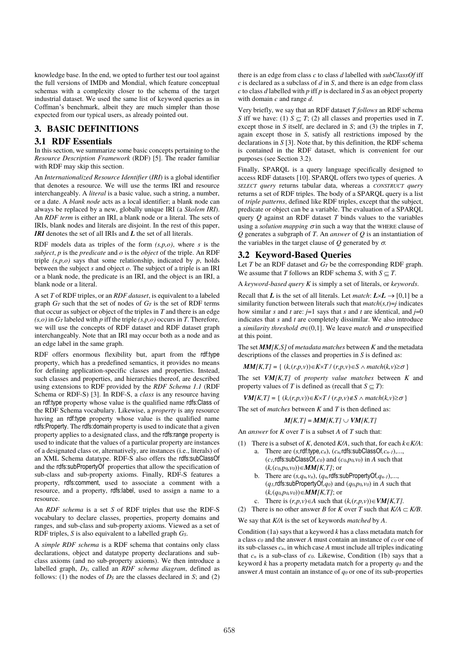knowledge base. In the end, we opted to further test our tool against the full versions of IMDb and Mondial, which feature conceptual schemas with a complexity closer to the schema of the target industrial dataset. We used the same list of keyword queries as in Coffman's benchmark, albeit they are much simpler than those expected from our typical users, as already pointed out.

### **3. BASIC DEFINITIONS**

#### **3.1 RDF Essentials**

In this section, we summarize some basic concepts pertaining to the *Resource Description Framework* (RDF) [5]. The reader familiar with RDF may skip this section.

An *Internationalized Resource Identifier* (*IRI*) is a global identifier that denotes a resource. We will use the terms IRI and resource interchangeably. A *literal* is a basic value, such a string, a number, or a date. A *blank node* acts as a local identifier; a blank node can always be replaced by a new, globally unique IRI (a *Skolem IRI*). An *RDF term* is either an IRI, a blank node or a literal. The sets of IRIs, blank nodes and literals are disjoint. In the rest of this paper, *IRI* denotes the set of all IRIs and *L* the set of all literals.

RDF models data as triples of the form *(s,p,o)*, where *s* is the *subject*, *p* is the *predicate* and *o* is the *object* of the triple. An RDF triple  $(s, p, o)$  says that some relationship, indicated by  $p$ , holds between the subject *s* and object *o*. The subject of a triple is an IRI or a blank node, the predicate is an IRI, and the object is an IRI, a blank node or a literal.

A set *T* of RDF triples, or an *RDF dataset*, is equivalent to a labeled graph  $G_T$  such that the set of nodes of  $G_T$  is the set of RDF terms that occur as subject or object of the triples in *T* and there is an edge  $(s, o)$  in  $G_T$  labeled with  $p$  iff the triple  $(s, p, o)$  occurs in  $T$ . Therefore, we will use the concepts of RDF dataset and RDF dataset graph interchangeably. Note that an IRI may occur both as a node and as an edge label in the same graph.

RDF offers enormous flexibility but, apart from the rdf:type property, which has a predefined semantics, it provides no means for defining application-specific classes and properties. Instead, such classes and properties, and hierarchies thereof, are described using extensions to RDF provided by the *RDF Schema 1.1* (RDF Schema or RDF-S) [3]. In RDF-S, a *class* is any resource having an rdf:type property whose value is the qualified name rdfs:Class of the RDF Schema vocabulary. Likewise, a *property* is any resource having an rdf:type property whose value is the qualified name rdfs:Property. The rdfs:domain property is used to indicate that a given property applies to a designated class, and the rdfs:range property is used to indicate that the values of a particular property are instances of a designated class or, alternatively, are instances (i.e., literals) of an XML Schema datatype. RDF-S also offers the rdfs:subClassOf and the rdfs:subPropertyOf properties that allow the specification of sub-class and sub-property axioms. Finally, RDF-S features a property, rdfs:comment, used to associate a comment with a resource, and a property, rdfs:label, used to assign a name to a resource.

An *RDF schema* is a set *S* of RDF triples that use the RDF-S vocabulary to declare classes, properties, property domains and ranges, and sub-class and sub-property axioms. Viewed as a set of RDF triples, *S* is also equivalent to a labelled graph *GS*.

A *simple RDF schema* is a RDF schema that contains only class declarations, object and datatype property declarations and subclass axioms (and no sub-property axioms). We then introduce a labelled graph, *DS*, called an *RDF schema diagram*, defined as follows: (1) the nodes of *DS* are the classes declared in *S*; and (2) there is an edge from class *c* to class *d* labelled with *subClassOf* iff *c* is declared as a subclass of *d* in *S*, and there is an edge from class *c* to class *d* labelled with *p* iff *p* is declared in *S* as an object property with domain *c* and range *d*.

Very briefly, we say that an RDF dataset *T follows* an RDF schema *S* iff we have: (1)  $S \subseteq T$ ; (2) all classes and properties used in *T*, except those in *S* itself, are declared in *S*; and (3) the triples in *T*, again except those in *S*, satisfy all restrictions imposed by the declarations in *S* [3]. Note that, by this definition, the RDF schema is contained in the RDF dataset, which is convenient for our purposes (see Section 3.2).

Finally, SPARQL is a query language specifically designed to access RDF datasets [10]. SPARQL offers two types of queries. A *SELECT query* returns tabular data, whereas a *CONSTRUCT query* returns a set of RDF triples. The body of a SPARQL query is a list of *triple patterns*, defined like RDF triples, except that the subject, predicate or object can be a variable. The evaluation of a SPARQL query *Q* against an RDF dataset *T* binds values to the variables using a *solution mapping*  $\sigma$  in such a way that the WHERE clause of *Q* generates a subgraph of *T*. An *answer* of *Q* is an instantiation of the variables in the target clause of  $\hat{O}$  generated by  $\sigma$ .

#### **3.2 Keyword-Based Queries**

Let *T* be an RDF dataset and  $G_T$  be the corresponding RDF graph. We assume that *T* follows an RDF schema *S*, with  $S \subset T$ .

A *keyword-based query K* is simply a set of literals, or *keywords*.

Recall that *L* is the set of all literals. Let *match*:  $L \times L \rightarrow [0,1]$  be a similarity function between literals such that *match*(*s,t*)=*j* indicates how similar *s* and *t* are:  $j=1$  says that *s* and *t* are identical, and  $j=0$ indicates that *s* and *t* are completely dissimilar. We also introduce a *similarity threshold*  $\sigma \in (0,1]$ . We leave *match* and  $\sigma$  unspecified at this point.

The set *MM[K,S]* of *metadata matches* between *K* and the metadata descriptions of the classes and properties in *S* is defined as:

$$
MM[K,T] = \{ (k,(r,p,v)) \in K \times T / (r,p,v) \in S \land match(k,v) \ge \sigma \}
$$

The set *VM[K,T]* of *property value matches* between *K* and property values of *T* is defined as (recall that  $S \subset T$ ):

 $VM[K,T] = \{ (k,(r,p,v)) \in K \times T \mid (r,p,v) \notin S \land match(k,v) \geq \sigma \}$ 

The set of *matches* between *K* and *T* is then defined as:

$$
M[K,T] = MM[K,T] \cup VM[K,T]
$$

An *answer* for *K* over *T* is a subset *A* of *T* such that:

- (1) There is a subset of *K*, denoted  $K/A$ , such that, for each  $k \in K/A$ :
	- a. There are (*s,*rdf:type*,cn*), (*cn,*rdfs:subClassOf*,cn-1*),..., (*c1,*rdfs:subClassOf*,c0*) and (*c0,p0,v0*) in *A* such that  $(k, (c_0, p_0, v_0)) \in MM[K, T]$ ; or
	- b. There are  $(s, q_n, v_n)$ ,  $(q_n, \text{rdfs:subPropertyOf}, q_{n-1}), \ldots$ , (*q1,*rdfs:subPropertyOf*,q0*) and (*q0,p0,v0*) in *A* such that  $(k, (q_0, p_0, v_0)) \in MM[K, T]$ ; or
	- c. There is  $(r, p, v) \in A$  such that  $(k, (r, p, v)) \in VM[K, T]$ .
- (2) There is no other answer *B* for *K* over *T* such that  $K/A \subset K/B$ .

We say that *K/A* is the set of keywords *matched* by *A*.

Condition (1a) says that a keyword *k* has a class metadata match for a class  $c_0$  and the answer *A* must contain an instance of  $c_0$  or one of its sub-classes *cn*, in which case *A* must include all triples indicating that  $c_n$  is a sub-class of  $c_0$ . Likewise, Condition (1b) says that a keyword *k* has a property metadata match for a property *q0* and the answer *A* must contain an instance of *q0* or one of its sub-properties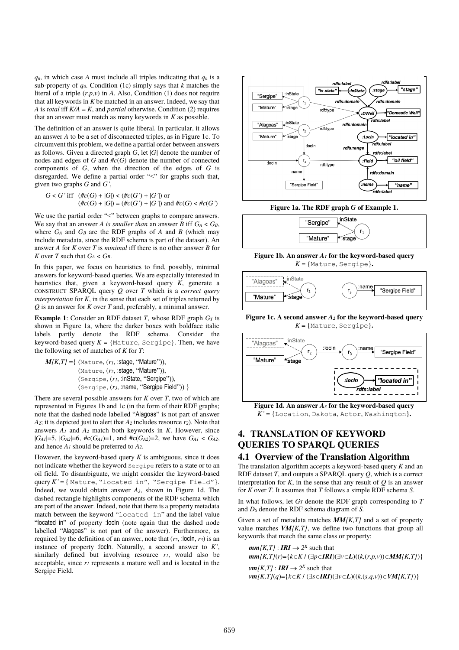*qn*, in which case *A* must include all triples indicating that *qn* is a sub-property of *q0*. Condition (1c) simply says that *k* matches the literal of a triple (*r,p,v*) in *A*. Also, Condition (1) does not require that all keywords in *K* be matched in an answer. Indeed, we say that *A* is *total* iff  $K/A = K$ , and *partial* otherwise. Condition (2) requires that an answer must match as many keywords in *K* as possible.

The definition of an answer is quite liberal. In particular, it allows an answer *A* to be a set of disconnected triples, as in Figure 1c. To circumvent this problem, we define a partial order between answers as follows. Given a directed graph  $G$ , let  $|G|$  denote the number of nodes and edges of *G* and *#c*(*G*) denote the number of connected components of *G*, when the direction of the edges of *G* is disregarded. We define a partial order "<" for graphs such that, given two graphs *G* and *G'*,

$$
G < G' \text{ iff } (\#c(G) + |G|) < (\#c(G') + |G'|) \text{ or }
$$
\n
$$
(\#c(G) + |G|) = (\#c(G') + |G'|) \text{ and } \#c(G) < \#c(G')
$$

We use the partial order "<" between graphs to compare answers. We say that an answer *A is smaller than* an answer *B* iff  $G_A < G_B$ , where  $G_A$  and  $G_B$  are the RDF graphs of  $A$  and  $B$  (which may include metadata, since the RDF schema is part of the dataset). An answer *A* for *K* over *T* is *minimal* iff there is no other answer *B* for *K* over *T* such that  $G_A < G_B$ .

In this paper, we focus on heuristics to find, possibly, minimal answers for keyword-based queries. We are especially interested in heuristics that, given a keyword-based query *K*, generate a CONSTRUCT SPARQL query *Q* over *T* which is a *correct query interpretation* for *K*, in the sense that each set of triples returned by *Q* is an answer for *K* over *T* and, preferably, a minimal answer.

**Example 1**: Consider an RDF dataset *T*, whose RDF graph *GT* is shown in Figure 1a, where the darker boxes with boldface italic labels partly denote the RDF schema. Consider the keyword-based query  $K = \{$ Mature, Sergipe $\}$ . Then, we have the following set of matches of *K* for *T*:

 $M/K,T$  = { (Mature,  $(r<sub>I</sub>,$  :stage, "Mature")), (Mature, (*r2*, :stage, "Mature")), (Sergipe, (*r1*, :inState, "Sergipe")), (Sergipe, (*r3*, :name, "Sergipe Field")) }

There are several possible answers for *K* over *T*, two of which are represented in Figures 1b and 1c (in the form of their RDF graphs; note that the dashed node labelled "Alagoas" is not part of answer *A2*; it is depicted just to alert that *A2* includes resource *r2*). Note that answers *A1* and *A2* match both keywords in *K*. However, since  $|G_{A1}|=5$ ,  $|G_{A2}|=6$ ,  $\#c(G_{A1})=1$ , and  $\#c(G_{A2})=2$ , we have  $G_{A1} < G_{A2}$ , and hence *A1* should be preferred to *A2*.

However, the keyword-based query  $K$  is ambiguous, since it does not indicate whether the keyword Sergipe refers to a state or to an oil field. To disambiguate, we might consider the keyword-based query *K'* = { Mature, "located in", "Sergipe Field"}. Indeed, we would obtain answer *A3*, shown in Figure 1d. The dashed rectangle highlights components of the RDF schema which are part of the answer. Indeed, note that there is a property metadata match between the keyword "located in" and the label value "located in" of property :locIn (note again that the dashed node labelled "Alagoas" is not part of the answer). Furthermore, as required by the definition of an answer, note that (*r2*, :locIn, *r3*) is an instance of property :locIn. Naturally, a second answer to *K'*, similarly defined but involving resource *r1*, would also be acceptable, since *r1* represents a mature well and is located in the Sergipe Field.



**Figure 1a. The RDF graph** *G* **of Example 1.**



**Figure 1b. An answer** *A1* **for the keyword-based query**  *K* = {Mature, Sergipe}**.** 



**Figure 1c. A second answer** *A2* **for the keyword-based query**  *K* = {Mature, Sergipe}**.** 



**Figure 1d. An answer** *A3* **for the keyword-based query**  *K'* = {Location, Dakota, Actor, Washington}**.**

# **4. TRANSLATION OF KEYWORD QUERIES TO SPARQL QUERIES**

#### **4.1 Overview of the Translation Algorithm**

The translation algorithm accepts a keyword-based query *K* and an RDF dataset *T*, and outputs a SPARQL query *Q*, which is a correct interpretation for  $K$ , in the sense that any result of  $Q$  is an answer for *K* over *T*. It assumes that *T* follows a simple RDF schema *S*.

In what follows, let *GT* denote the RDF graph corresponding to *T* and *DS* denote the RDF schema diagram of *S.*

Given a set of metadata matches *MM[K,T]* and a set of property value matches *VM[K,T]*, we define two functions that group all keywords that match the same class or property:

 $mm/K,T$ : *IRI*  $\rightarrow$  2<sup>K</sup> such that  $mm(K,T)(r) = \{k \in K / (\exists p \in \mathbf{IRI})(\exists v \in L)((k,(r,p,v)) \in MM(K,T)\}$ 

*vm*  $[K, T]$  : *IRI*  $\rightarrow$   $2^K$  such that  $vm(K,T](q) = {k \in K / (\exists s \in \mathbb{IRI})(\exists v \in L)((k,(s,q,v)) \in VM(K,T))}$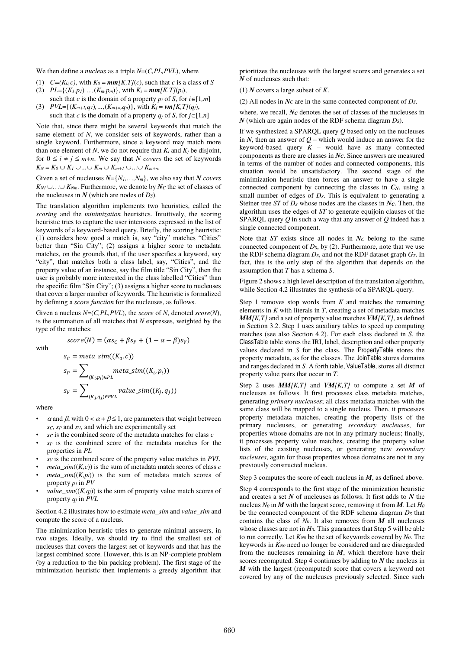We then define a *nucleus* as a triple *N*=(*C,PL,PVL*), where

- (1)  $C=(K_0,c)$ , with  $K_0 = \text{mm}/K$ ,  $T/(c)$ , such that *c* is a class of *S*
- (2)  $PL = \{(K_l, p_l), ..., (K_m, p_m)\}$ , with  $K_i = \text{mm}/K$ ,  $T/(p_i)$ ,
- such that *c* is the domain of a property  $p_i$  of *S*, for  $i \in [1,m]$ (3)  $PVL = \{(K_{m+1}, q_1), ..., (K_{m+n}, q_n)\},$  with  $K_j = \nu m[K, T](q_j),$
- such that *c* is the domain of a property  $q_i$  of *S*, for  $j \in [1, n]$

Note that, since there might be several keywords that match the same element of *N*, we consider sets of keywords, rather than a single keyword. Furthermore, since a keyword may match more than one element of *N*, we do not require that  $K_i$  and  $K_j$  be disjoint, for  $0 \le i \ne j \le m+n$ . We say that *N* covers the set of keywords  $K_N = K_0 \cup K_1 \cup ... \cup K_m \cup K_{m+1} \cup ... \cup K_{m+n}$ .

Given a set of nucleuses  $N = \{N_1, \ldots, N_m\}$ , we also say that *N* covers  $K_{N1} \cup \ldots \cup K_{Nm}$ . Furthermore, we denote by *Nc* the set of classes of the nucleuses in  $N$  (which are nodes of  $D_S$ ).

The translation algorithm implements two heuristics, called the *scoring* and the *minimization* heuristics. Intuitively, the scoring heuristic tries to capture the user intensions expressed in the list of keywords of a keyword-based query. Briefly, the scoring heuristic: (1) considers how good a match is, say "city" matches "Cities" better than "Sin City"; (2) assigns a higher score to metadata matches, on the grounds that, if the user specifies a keyword, say "city", that matches both a class label, say, "Cities", and the property value of an instance, say the film title "Sin City", then the user is probably more interested in the class labelled "Cities" than the specific film "Sin City"; (3) assigns a higher score to nucleuses that cover a larger number of keywords. The heuristic is formalized by defining a *score function* for the nucleuses, as follows.

Given a nucleus *N*=(*C,PL,PVL*), the *score* of *N*, denoted *score*(*N*), is the summation of all matches that *N* expresses, weighted by the type of the matches:

with

$$
score(N) = (\alpha s_C + \beta s_P + (1 - \alpha - \beta)s_V)
$$

$$
s_C = meta\_sim((K_0, c))
$$
  
\n
$$
s_P = \sum\nolimits_{(K_i, p_i) \in PL} meta\_sim((K_i, p_i))
$$
  
\n
$$
s_V = \sum\nolimits_{(K_j, q_j) \in PVL} value\_sim((K_j, q_j))
$$

where

- $\alpha$  and  $\beta$ , with  $0 < \alpha + \beta \leq 1$ , are parameters that weight between *sC*, *sP* and *sV*, and which are experimentally set
- *sC* is the combined score of the metadata matches for class *c*
- *sP* is the combined score of the metadata matches for the properties in *PL*
- *sV* is the combined score of the property value matches in *PVL*
- $meta\_sim((K,c))$  is the sum of metadata match scores of class  $c$  $meta\_sim((K,p_i))$  is the sum of metadata match scores of
- property *pi* in *PV*
- *value\_sim*( $(K, q<sub>j</sub>)$ ) is the sum of property value match scores of property *qj* in *PVL*

Section 4.2 illustrates how to estimate *meta\_sim* and *value\_sim* and compute the score of a nucleus.

The minimization heuristic tries to generate minimal answers, in two stages. Ideally, we should try to find the smallest set of nucleuses that covers the largest set of keywords and that has the largest combined score. However, this is an NP-complete problem (by a reduction to the bin packing problem). The first stage of the minimization heuristic then implements a greedy algorithm that prioritizes the nucleuses with the largest scores and generates a set *N* of nucleuses such that:

- (1) *N* covers a large subset of *K*.
- (2) All nodes in *NC* are in the same connected component of *DS*.

where, we recall,  $N<sub>C</sub>$  denotes the set of classes of the nucleuses in *N* (which are again nodes of the RDF schema diagram *DS*).

If we synthesized a SPARQL query *Q* based only on the nucleuses in *N*, then an answer of  $Q$  – which would induce an answer for the keyword-based query *K* – would have as many connected components as there are classes in *NC*. Since answers are measured in terms of the number of nodes and connected components, this situation would be unsatisfactory. The second stage of the minimization heuristic then forces an answer to have a single connected component by connecting the classes in  $C_N$ , using a small number of edges of *DS*. This is equivalent to generating a Steiner tree *ST* of *DS* whose nodes are the classes in *NC*. Then, the algorithm uses the edges of *ST* to generate equijoin clauses of the SPARQL query *Q* in such a way that any answer of *Q* indeed has a single connected component.

Note that *ST* exists since all nodes in *NC* belong to the same connected component of *DS*, by (2). Furthermore, note that we use the RDF schema diagram *DS*, and not the RDF dataset graph *GT*. In fact, this is the only step of the algorithm that depends on the assumption that *T* has a schema *S*.

Figure 2 shows a high level description of the translation algorithm, while Section 4.2 illustrates the synthesis of a SPARQL query.

Step 1 removes stop words from *K* and matches the remaining elements in *K* with literals in *T*, creating a set of metadata matches *MM[K,T]* and a set of property value matches *VM[K,T]*, as defined in Section 3.2. Step 1 uses auxiliary tables to speed up computing matches (see also Section 4.2). For each class declared in *S*, the ClassTable table stores the IRI, label, description and other property values declared in *S* for the class. The PropertyTable stores the property metadata, as for the classes. The JoinTable stores domains and ranges declared in *S.* A forth table, ValueTable, stores all distinct property value pairs that occur in *T*.

Step 2 uses *MM[K,T]* and *VM[K,T]* to compute a set *M* of nucleuses as follows. It first processes class metadata matches, generating *primary nucleuses*; all class metadata matches with the same class will be mapped to a single nucleus. Then, it processes property metadata matches, creating the property lists of the primary nucleuses, or generating *secondary nucleuses*, for properties whose domains are not in any primary nucleus; finally, it processes property value matches, creating the property value lists of the existing nucleuses, or generating new *secondary nucleuses*, again for those properties whose domains are not in any previously constructed nucleus.

Step 3 computes the score of each nucleus in *M*, as defined above.

Step 4 corresponds to the first stage of the minimization heuristic and creates a set *N* of nucleuses as follows. It first adds to *N* the nucleus  $N_0$  in *M* with the largest score, removing it from *M*. Let  $H_0$ be the connected component of the RDF schema diagram  $D<sub>S</sub>$  that contains the class of  $N_0$ . It also removes from  $M$  all nucleuses whose classes are not in  $H_0$ . This guarantees that Step 5 will be able to run correctly. Let *KN0* be the set of keywords covered by *N0*. The keywords in *KN0* need no longer be considered and are disregarded from the nucleuses remaining in *M*, which therefore have their scores recomputed. Step 4 continues by adding to *N* the nucleus in *M* with the largest (recomputed) score that covers a keyword not covered by any of the nucleuses previously selected. Since such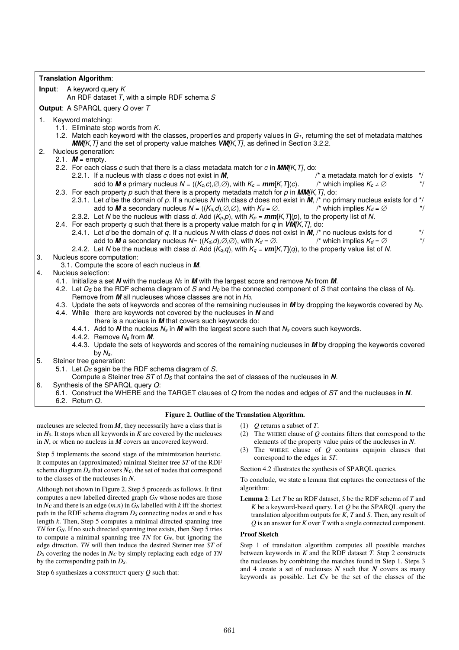|        | <b>Translation Algorithm:</b>                                                                                                                                                                                                                                                                                                                                                                                                                                                                                              |
|--------|----------------------------------------------------------------------------------------------------------------------------------------------------------------------------------------------------------------------------------------------------------------------------------------------------------------------------------------------------------------------------------------------------------------------------------------------------------------------------------------------------------------------------|
| Input: | A keyword query K<br>An RDF dataset T, with a simple RDF schema S                                                                                                                                                                                                                                                                                                                                                                                                                                                          |
|        | <b>Output:</b> A SPARQL query Q over T                                                                                                                                                                                                                                                                                                                                                                                                                                                                                     |
|        | 1. Keyword matching:<br>1.1. Eliminate stop words from K.<br>1.2. Match each keyword with the classes, properties and property values in $GT$ , returning the set of metadata matches<br>$MM/K$ , T] and the set of property value matches $VM/K$ , T], as defined in Section 3.2.2.                                                                                                                                                                                                                                       |
| 2.     | Nucleus generation:<br>2.1. $M =$ empty.                                                                                                                                                                                                                                                                                                                                                                                                                                                                                   |
|        | 2.2. For each class c such that there is a class metadata match for c in <b>MM</b> /K, T/, do:<br>2.2.1. If a nucleus with class c does not exist in M,<br>$\prime^*$ a metadata match for d exists<br>$\star$ /<br>$\star$ /<br>add to M a primary nucleus $N = ((K_c, c), \emptyset, \emptyset)$ , with $K_c = \textit{mm}[K, T](c)$ .<br>/* which implies $K_c \neq \emptyset$                                                                                                                                          |
|        | 2.3. For each property p such that there is a property metadata match for p in $MM/K, T,$ do:<br>2.3.1. Let d be the domain of p. If a nucleus N with class d does not exist in $M$ , $\prime^*$ no primary nucleus exists for d $^*/$<br>add to M a secondary nucleus $N = ((K_d, d), \emptyset, \emptyset)$ , with $K_d = \emptyset$ .<br>/* which implies $K_d = \emptyset$<br>2.3.2. Let N be the nucleus with class d. Add $(K_p,p)$ , with $K_p = \text{mm}[K,T](p)$ , to the property list of N.                    |
|        | 2.4. For each property q such that there is a property value match for q in $VM[K, T]$ , do:<br>2.4.1. Let d be the domain of q. If a nucleus N with class d does not exist in $M$ , $\prime$ no nucleus exists for d<br>$^{\star}/$<br>$\star$ /<br>add to M a secondary nucleus $N = ((K_d, d), \emptyset, \emptyset)$ , with $K_d = \emptyset$ .<br>/* which implies $K_d = \emptyset$<br>2.4.2. Let N be the nucleus with class d. Add $(K_q, q)$ , with $K_q = \text{vm}[K, T](q)$ , to the property value list of N. |
| 3.     | Nucleus score computation:<br>3.1. Compute the score of each nucleus in $M$ .                                                                                                                                                                                                                                                                                                                                                                                                                                              |
| 4.     | Nucleus selection:<br>4.1. Initialize a set N with the nucleus $N_0$ in M with the largest score and remove $N_0$ from M.<br>4.2. Let $D_S$ be the RDF schema diagram of S and $H_0$ be the connected component of S that contains the class of $N_0$ .<br>Remove from $M$ all nucleuses whose classes are not in $H_0$ .                                                                                                                                                                                                  |
|        | 4.3. Update the sets of keywords and scores of the remaining nucleuses in $M$ by dropping the keywords covered by $N_0$ .<br>4.4. While there are keywords not covered by the nucleuses in $N$ and<br>there is a nucleus in $M$ that covers such keywords do:                                                                                                                                                                                                                                                              |
|        | 4.4.1. Add to N the nucleus $N_s$ in M with the largest score such that $N_s$ covers such keywords.<br>4.4.2. Remove $N_s$ from $\bm{M}$ .<br>4.4.3. Update the sets of keywords and scores of the remaining nucleuses in M by dropping the keywords covered<br>by $N_s$ .                                                                                                                                                                                                                                                 |
| 5.     | Steiner tree generation:<br>5.1. Let $D_S$ again be the RDF schema diagram of S.                                                                                                                                                                                                                                                                                                                                                                                                                                           |
| 6.     | Compute a Steiner tree $ST$ of $DS$ that contains the set of classes of the nucleuses in N.<br>Synthesis of the SPARQL query Q:                                                                                                                                                                                                                                                                                                                                                                                            |

6.1. Construct the WHERE and the TARGET clauses of *Q* from the nodes and edges of *ST* and the nucleuses in *N*. 6.2. Return *Q*.

## **Figure 2. Outline of the Translation Algorithm.**

nucleuses are selected from *M*, they necessarily have a class that is in *H0*. It stops when all keywords in *K* are covered by the nucleuses in *N*, or when no nucleus in *M* covers an uncovered keyword.

Step 5 implements the second stage of the minimization heuristic. It computes an (approximated) minimal Steiner tree *ST* of the RDF schema diagram  $\overline{D_S}$  that covers  $N_C$ , the set of nodes that correspond to the classes of the nucleuses in *N*.

Although not shown in Figure 2, Step 5 proceeds as follows. It first computes a new labelled directed graph *GN* whose nodes are those in  $N_c$  and there is an edge  $(m,n)$  in  $G_N$  labelled with *k* iff the shortest path in the RDF schema diagram  $D<sub>S</sub>$  connecting nodes  $m$  and  $n$  has length *k*. Then, Step 5 computes a minimal directed spanning tree *TN* for *GN*. If no such directed spanning tree exists, then Step 5 tries to compute a minimal spanning tree *TN* for *GN*, but ignoring the edge direction. *TN* will then induce the desired Steiner tree *ST* of *DS* covering the nodes in *NC* by simply replacing each edge of *TN* by the corresponding path in *DS*.

Step 6 synthesizes a CONSTRUCT query *Q* such that:

- (1) *Q* returns a subset of *T*.
- (2) The WHERE clause of *Q* contains filters that correspond to the elements of the property value pairs of the nucleuses in *N*.
- (3) The WHERE clause of *Q* contains equijoin clauses that correspond to the edges in *ST*.

Section 4.2 illustrates the synthesis of SPARQL queries.

To conclude, we state a lemma that captures the correctness of the algorithm:

**Lemma 2**: Let *T* be an RDF dataset, *S* be the RDF schema of *T* and *K* be a keyword-based query. Let *Q* be the SPARQL query the translation algorithm outputs for *K*, *T* and *S*. Then, any result of *Q* is an answer for *K* over *T* with a single connected component.

#### **Proof Sketch**

Step 1 of translation algorithm computes all possible matches between keywords in *K* and the RDF dataset *T*. Step 2 constructs the nucleuses by combining the matches found in Step 1. Steps 3 and 4 create a set of nucleuses *N* such that *N* covers as many keywords as possible. Let  $C_N$  be the set of the classes of the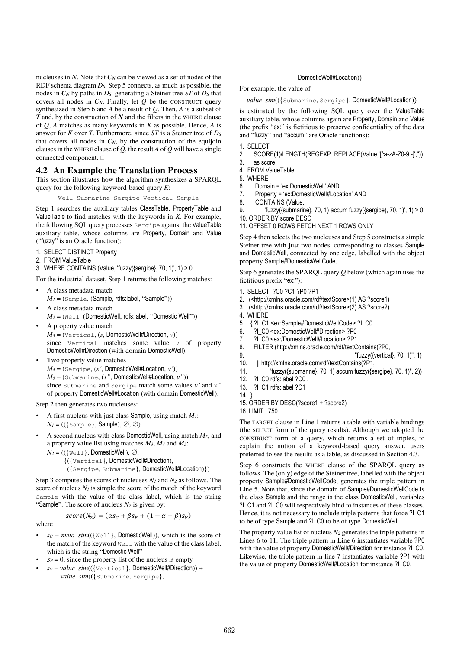nucleuses in  $N$ . Note that  $C_N$  can be viewed as a set of nodes of the RDF schema diagram *DS*. Step 5 connects, as much as possible, the nodes in  $C_N$  by paths in  $D_S$ , generating a Steiner tree  $ST$  of  $D_S$  that covers all nodes in  $C_N$ . Finally, let  $Q$  be the CONSTRUCT query synthesized in Step 6 and *A* be a result of *Q*. Then, *A* is a subset of *T* and, by the construction of *N* and the filters in the WHERE clause of *Q*, *A* matches as many keywords in *K* as possible. Hence, *A* is answer for *K* over *T*. Furthermore, since *ST* is a Steiner tree of *DS* that covers all nodes in  $C_N$ , by the construction of the equijoin clauses in the WHERE clause of *Q*, the result *A* of *Q* will have a single connected component.

#### **4.2 An Example the Translation Process**

This section illustrates how the algorithm synthesizes a SPARQL query for the following keyword-based query *K*:

Well Submarine Sergipe Vertical Sample

Step 1 searches the auxiliary tables ClassTable, PropertyTable and ValueTable to find matches with the keywords in *K*. For example, the following SQL query processes Sergipe against the ValueTable auxiliary table, whose columns are Property, Domain and Value ("fuzzy" is an Oracle function):

- 1. SELECT DISTINCT Property
- 2. FROM ValueTable
- 3. WHERE CONTAINS (Value, 'fuzzy({sergipe}, 70, 1)', 1) > 0

For the industrial dataset, Step 1 returns the following matches:

- A class metadata match
	- *M1* = (Sample*,* (Sample, rdfs:label, "Sample"))
- A class metadata match
- *M<sub>2</sub>* = (Well, (DomesticWell, rdfs:label, "Domestic Well"))
- A property value match *M3* = (Vertical, (*s*, DomesticWell#Direction, *v*)) since Vertical matches some value *v* of property DomesticWell#Direction (with domain DomesticWell).
- Two property value matches *M4* = (Sergipe, (*s'*, DomesticWell#Location, *v'*)) *M5* = (Submarine, (*s"*, DomesticWell#Location, *v"*)) since Submarine and Sergipe match some values *v'* and *v"* of property DomesticWell#Location (with domain DomesticWell).

Step 2 then generates two nucleuses:

- A first nucleus with just class Sample, using match *M1*:  $N_I = ((\{Sample\}, \, Sample), \, \emptyset, \emptyset)$
- A second nucleus with class DomesticWell, using match *M2*, and a property value list using matches *M3*, *M4* and *M5*:  $N_2$  = (({Well}, DomesticWell),  $\varnothing$ ,
	- {({Vertical}, DomesticWell#Direction),

({Sergipe, Submarine}, DomesticWell#Location)})

Step 3 computes the scores of nucleuses *N1* and *N2* as follows. The score of nucleus  $N_l$  is simple the score of the match of the keyword Sample with the value of the class label, which is the string "Sample". The score of nucleus  $N_2$  is given by:

where

- $score(N_2) = (as_c + \beta s_p + (1 \alpha \beta)s_v)$
- $sc = meta\_sim(($ [Well}, DomesticWell)), which is the score of the match of the keyword Well with the value of the class label, which is the string "Domestic Well"
- $s_P = 0$ , since the property list of the nucleus is empty
- *sV* = *value\_sim*(({Vertical}, DomesticWell#Direction)) + *value\_sim*(({Submarine, Sergipe},

#### DomesticWell#Location))

For example, the value of

*value\_sim*(({Submarine, Sergipe}, DomesticWell#Location))

is estimated by the following SQL query over the ValueTable auxiliary table, whose columns again are Property, Domain and Value (the prefix "ex:" is fictitious to preserve confidentiality of the data and "fuzzy" and "accum" are Oracle functions):

- 1. SELECT
- 2. SCORE(1)/LENGTH(REGEXP\_REPLACE(Value,'[^a-zA-Z0-9 -]',''))
- 3. as score
- 4. FROM ValueTable
- 5. WHERE
- 6. Domain = 'ex:DomesticWell' AND
- 7. Property = 'ex:DomesticWell#Location' AND
- 8. CONTAINS (Value,
- 9. 'fuzzy({submarine}, 70, 1) accum fuzzy({sergipe}, 70, 1)', 1) > 0
- 10. ORDER BY score DESC
- 11. OFFSET 0 ROWS FETCH NEXT 1 ROWS ONLY

Step 4 then selects the two nucleuses and Step 5 constructs a simple Steiner tree with just two nodes, corresponding to classes Sample and DomesticWell, connected by one edge, labelled with the object property Sample#DomesticWellCode.

Step 6 generates the SPARQL query *Q* below (which again uses the fictitious prefix "ex:"):

- 1. SELECT ?C0 ?C1 ?P0 ?P1
- 2. (<http://xmlns.oracle.com/rdf/textScore>(1) AS ?score1)
- 3. (<http://xmlns.oracle.com/rdf/textScore>(2) AS ?score2) .
- 4. WHERE
- 5. { ?I\_C1 <ex:Sample#DomesticWellCode> ?I\_C0 .
- 6. ?I\_C0 <ex:DomesticWell#Direction> ?P0 .
- 7. ?I\_C0 <ex:/DomesticWell#Location> ?P1
- 8. FILTER (http://xmlns.oracle.com/rdf/textContains(?P0,
- 9. "fuzzy({vertical}, 70, 1)", 1)
- 10. || http://xmlns.oracle.com/rdf/textContains(?P1,
- 11. "fuzzy({submarine}, 70, 1) accum fuzzy({sergipe}, 70, 1)", 2))
- 12. ?I\_C0 rdfs:label ?C0 .
- 13. ?I\_C1 rdfs:label ?C1
- 14. }
- 15. ORDER BY DESC(?score1 + ?score2)
- 16. LIMIT 750

The TARGET clause in Line 1 returns a table with variable bindings (the SELECT form of the query results). Although we adopted the CONSTRUCT form of a query, which returns a set of triples, to explain the notion of a keyword-based query answer, users preferred to see the results as a table, as discussed in Section 4.3.

Step 6 constructs the WHERE clause of the SPARQL query as follows. The (only) edge of the Steiner tree, labelled with the object property Sample#DomesticWellCode, generates the triple pattern in Line 5. Note that, since the domain of Sample#DomesticWellCode is the class Sample and the range is the class DomesticWell, variables ?I\_C1 and ?I\_C0 will respectively bind to instances of these classes. Hence, it is not necessary to include triple patterns that force ?| C1 to be of type Sample and ?I\_C0 to be of type DomesticWell.

The property value list of nucleus  $N_2$  generates the triple patterns in Lines 6 to 11. The triple pattern in Line 6 instantiates variable ?P0 with the value of property DomesticWell#Direction for instance ?I\_C0. Likewise, the triple pattern in line 7 instantiates variable ?P1 with the value of property DomesticWell#Location for instance ?I\_C0.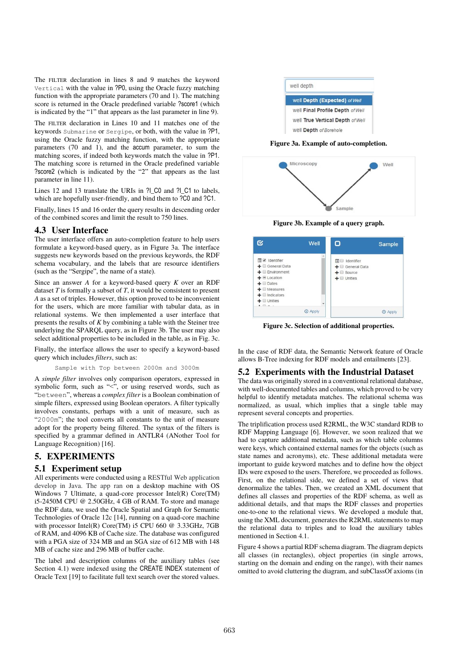The FILTER declaration in lines 8 and 9 matches the keyword Vertical with the value in ?P0, using the Oracle fuzzy matching function with the appropriate parameters (70 and 1). The matching score is returned in the Oracle predefined variable ?score1 (which is indicated by the "1" that appears as the last parameter in line 9).

The FILTER declaration in Lines 10 and 11 matches one of the keywords Submarine or Sergipe, or both, with the value in ?P1, using the Oracle fuzzy matching function, with the appropriate parameters (70 and 1), and the accum parameter, to sum the matching scores, if indeed both keywords match the value in ?P1. The matching score is returned in the Oracle predefined variable ?score2 (which is indicated by the "2" that appears as the last parameter in line 11).

Lines 12 and 13 translate the URIs in ?I\_C0 and ?I\_C1 to labels, which are hopefully user-friendly, and bind them to ?C0 and ?C1.

Finally, lines 15 and 16 order the query results in descending order of the combined scores and limit the result to 750 lines.

## **4.3 User Interface**

The user interface offers an auto-completion feature to help users formulate a keyword-based query, as in Figure 3a. The interface suggests new keywords based on the previous keywords, the RDF schema vocabulary, and the labels that are resource identifiers (such as the "Sergipe", the name of a state).

Since an answer *A* for a keyword-based query *K* over an RDF dataset *T* is formally a subset of *T*, it would be consistent to present *A* as a set of triples. However, this option proved to be inconvenient for the users, which are more familiar with tabular data, as in relational systems. We then implemented a user interface that presents the results of *K* by combining a table with the Steiner tree underlying the SPARQL query, as in Figure 3b. The user may also select additional properties to be included in the table, as in Fig. 3c.

Finally, the interface allows the user to specify a keyword-based query which includes *filters*, such as:

Sample with Top between 2000m and 3000m

A *simple filter* involves only comparison operators, expressed in symbolic form, such as "<", or using reserved words, such as "between", whereas a *complex filter* is a Boolean combination of simple filters, expressed using Boolean operators. A filter typically involves constants, perhaps with a unit of measure, such as "2000m"; the tool converts all constants to the unit of measure adopt for the property being filtered. The syntax of the filters is specified by a grammar defined in ANTLR4 (ANother Tool for Language Recognition) [16].

## **5. EXPERIMENTS**

#### **5.1 Experiment setup**

All experiments were conducted using a RESTful Web application develop in Java. The app ran on a desktop machine with OS Windows 7 Ultimate, a quad-core processor Intel(R) Core(TM) i5-2450M CPU @ 2.50GHz, 4 GB of RAM. To store and manage the RDF data, we used the Oracle Spatial and Graph for Semantic Technologies of Oracle 12c [14], running on a quad-core machine with processor Intel(R) Core(TM) i5 CPU 660 @ 3.33GHz, 7GB of RAM, and 4096 KB of Cache size. The database was configured with a PGA size of 324 MB and an SGA size of 612 MB with 148 MB of cache size and 296 MB of buffer cache.

The label and description columns of the auxiliary tables (see Section 4.1) were indexed using the CREATE INDEX statement of Oracle Text [19] to facilitate full text search over the stored values.



**Figure 3a. Example of auto-completion.** 



**Figure 3b. Example of a query graph.** 

| м                                                                                                                                                                                           | Well           | О                                                                   | Sample         |
|---------------------------------------------------------------------------------------------------------------------------------------------------------------------------------------------|----------------|---------------------------------------------------------------------|----------------|
| <b>■</b> <i>■</i> Identifier<br>$\blacklozenge$ General Data<br>$\textcolor{red}{+} \blacksquare$ Environment<br>$+ 0$ Location<br>$+ $ Dates<br>$\textcolor{red}{+} \blacksquare$ Measures |                | ■■ Identifier<br>+ General Data<br>$\bullet$ Source<br>$+ $ Unities |                |
| $\textcolor{red}{+}$ $\Box$ Indicators<br>$+$ $\Box$ Unities<br>$\mathbf{E}$                                                                                                                |                |                                                                     |                |
|                                                                                                                                                                                             | <b>O</b> Apply |                                                                     | <b>O</b> Apply |

**Figure 3c. Selection of additional properties.** 

In the case of RDF data, the Semantic Network feature of Oracle allows B-Tree indexing for RDF models and entailments [23].

#### **5.2 Experiments with the Industrial Dataset**

The data was originally stored in a conventional relational database, with well-documented tables and columns, which proved to be very helpful to identify metadata matches. The relational schema was normalized, as usual, which implies that a single table may represent several concepts and properties.

The triplification process used R2RML, the W3C standard RDB to RDF Mapping Language [6]. However, we soon realized that we had to capture additional metadata, such as which table columns were keys, which contained external names for the objects (such as state names and acronyms), etc. These additional metadata were important to guide keyword matches and to define how the object IDs were exposed to the users. Therefore, we proceeded as follows. First, on the relational side, we defined a set of views that denormalize the tables. Then, we created an XML document that defines all classes and properties of the RDF schema, as well as additional details, and that maps the RDF classes and properties one-to-one to the relational views. We developed a module that, using the XML document, generates the R2RML statements to map the relational data to triples and to load the auxiliary tables mentioned in Section 4.1.

Figure 4 shows a partial RDF schema diagram. The diagram depicts all classes (in rectangles), object properties (in single arrows, starting on the domain and ending on the range), with their names omitted to avoid cluttering the diagram, and subClassOf axioms (in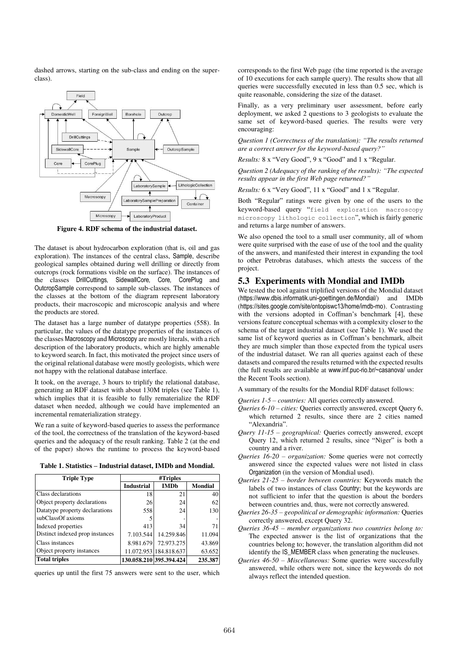dashed arrows, starting on the sub-class and ending on the superclass).



**Figure 4. RDF schema of the industrial dataset.**

The dataset is about hydrocarbon exploration (that is, oil and gas exploration). The instances of the central class, Sample, describe geological samples obtained during well drilling or directly from outcrops (rock formations visible on the surface). The instances of the classes DrillCuttings*,* SidewallCore*,* Core*,* CorePlug and OutcropSample correspond to sample sub-classes. The instances of the classes at the bottom of the diagram represent laboratory products, their macroscopic and microscopic analysis and where the products are stored.

The dataset has a large number of datatype properties (558). In particular, the values of the datatype properties of the instances of the classes Macroscopy and Microscopy are mostly literals, with a rich description of the laboratory products, which are highly amenable to keyword search. In fact, this motivated the project since users of the original relational database were mostly geologists, which were not happy with the relational database interface.

It took, on the average, 3 hours to triplify the relational database, generating an RDF dataset with about 130M triples (see Table 1), which implies that it is feasible to fully rematerialize the RDF dataset when needed, although we could have implemented an incremental rematerialization strategy.

We ran a suite of keyword-based queries to assess the performance of the tool, the correctness of the translation of the keyword-based queries and the adequacy of the result ranking. Table 2 (at the end of the paper) shows the runtime to process the keyword-based

**Table 1. Statistics – Industrial dataset, IMDb and Mondial.** 

| <b>Triple Type</b>              | #Triples          |                         |                |
|---------------------------------|-------------------|-------------------------|----------------|
|                                 | <b>Industrial</b> | <b>IMDb</b>             | <b>Mondial</b> |
| Class declarations              | 18                | 21                      | 40             |
| Object property declarations    | 26                | 24                      | 62             |
| Datatype property declarations  | 558               | 24                      | 130            |
| subClassOf axioms               |                   |                         |                |
| Indexed properties              | 413               | 34                      |                |
| Distinct indexed prop instances | 7.103.544         | 14.259.846              | 11.094         |
| Class instances                 | 8.981.679         | 72.973.275              | 43.869         |
| Object property instances       |                   | 11.072.953 184.818.637  | 63.652         |
| <b>Total triples</b>            |                   | 130.058.210 395.394.424 | 235.387        |

queries up until the first 75 answers were sent to the user, which

corresponds to the first Web page (the time reported is the average of 10 executions for each sample query). The results show that all queries were successfully executed in less than 0.5 sec, which is quite reasonable, considering the size of the dataset.

Finally, as a very preliminary user assessment, before early deployment, we asked 2 questions to 3 geologists to evaluate the same set of keyword-based queries. The results were very encouraging:

*Question 1 (Correctness of the translation): "The results returned are a correct answer for the keyword-based query?"*

*Results:* 8 x "Very Good", 9 x "Good" and 1 x "Regular.

*Question 2 (Adequacy of the ranking of the results): "The expected results appear in the first Web page returned?"*

*Results:* 6 x "Very Good", 11 x "Good" and 1 x "Regular.

Both "Regular" ratings were given by one of the users to the keyword-based query "field exploration macroscopy microscopy lithologic collection", which is fairly generic and returns a large number of answers.

We also opened the tool to a small user community, all of whom were quite surprised with the ease of use of the tool and the quality of the answers, and manifested their interest in expanding the tool to other Petrobras databases, which attests the success of the project.

## **5.3 Experiments with Mondial and IMDb**

We tested the tool against triplified versions of the Mondial dataset (https://www.dbis.informatik.uni-goettingen.de/Mondial/) and IMDb (https://sites.google.com/site/ontopiswc13/home/imdb-mo). Contrasting with the versions adopted in Coffman's benchmark [4], these versions feature conceptual schemas with a complexity closer to the schema of the target industrial dataset (see Table 1). We used the same list of keyword queries as in Coffman's benchmark, albeit they are much simpler than those expected from the typical users of the industrial dataset. We ran all queries against each of these datasets and compared the results returned with the expected results (the full results are available at www.inf.puc-rio.br/~casanova/ under the Recent Tools section).

A summary of the results for the Mondial RDF dataset follows:

- *Queries 1-5 – countries:* All queries correctly answered.
- *Queries 6-10 – cities:* Queries correctly answered, except Query 6, which returned 2 results, since there are 2 cities named "Alexandria".
- *Query 11-15 – geographical:* Queries correctly answered, except Query 12, which returned 2 results, since "Niger" is both a country and a river.
- *Queries 16-20 – organization:* Some queries were not correctly answered since the expected values were not listed in class Organization (in the version of Mondial used).
- *Queries 21-25 – border between countries:* Keywords match the labels of two instances of class Country; but the keywords are not sufficient to infer that the question is about the borders between countries and, thus, were not correctly answered.
- *Queries 26-35 – geopolitical or demographic information:* Queries correctly answered, except Query 32.
- *Queries 36-45 – member organizations two countries belong to:* The expected answer is the list of organizations that the countries belong to; however, the translation algorithm did not identify the IS\_MEMBER class when generating the nucleuses.
- *Queries 46-50 – Miscellaneous:* Some queries were successfully answered, while others were not, since the keywords do not always reflect the intended question.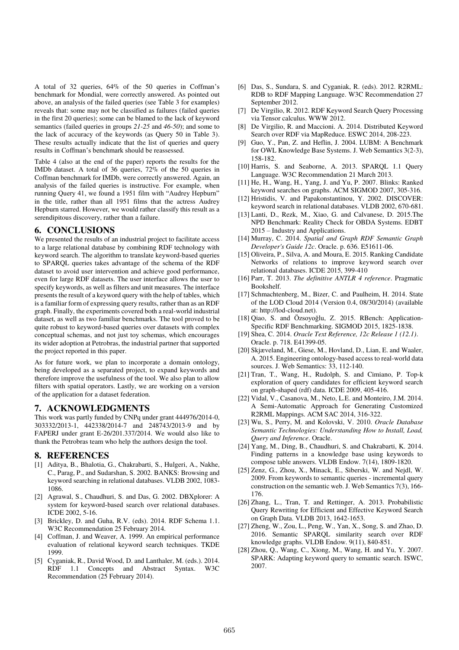A total of 32 queries, 64% of the 50 queries in Coffman's benchmark for Mondial, were correctly answered. As pointed out above, an analysis of the failed queries (see Table 3 for examples) reveals that: some may not be classified as failures (failed queries in the first 20 queries); some can be blamed to the lack of keyword semantics (failed queries in groups *21-25* and *46-50*); and some to the lack of accuracy of the keywords (as Query 50 in Table 3). These results actually indicate that the list of queries and query results in Coffman's benchmark should be reassessed.

Table 4 (also at the end of the paper) reports the results for the IMDb dataset. A total of 36 queries, 72% of the 50 queries in Coffman benchmark for IMDb, were correctly answered. Again, an analysis of the failed queries is instructive. For example, when running Query 41, we found a 1951 film with "Audrey Hepburn" in the title, rather than all 1951 films that the actress Audrey Hepburn starred. However, we would rather classify this result as a serendipitous discovery, rather than a failure.

#### **6. CONCLUSIONS**

We presented the results of an industrial project to facilitate access to a large relational database by combining RDF technology with keyword search. The algorithm to translate keyword-based queries to SPARQL queries takes advantage of the schema of the RDF dataset to avoid user intervention and achieve good performance, even for large RDF datasets. The user interface allows the user to specify keywords, as well as filters and unit measures. The interface presents the result of a keyword query with the help of tables, which is a familiar form of expressing query results, rather than as an RDF graph. Finally, the experiments covered both a real-world industrial dataset, as well as two familiar benchmarks. The tool proved to be quite robust to keyword-based queries over datasets with complex conceptual schemas, and not just toy schemas, which encourages its wider adoption at Petrobras, the industrial partner that supported the project reported in this paper.

As for future work, we plan to incorporate a domain ontology, being developed as a separated project, to expand keywords and therefore improve the usefulness of the tool. We also plan to allow filters with spatial operators. Lastly, we are working on a version of the application for a dataset federation.

#### **7. ACKNOWLEDGMENTS**

This work was partly funded by CNPq under grant 444976/2014-0, 303332/2013-1, 442338/2014-7 and 248743/2013-9 and by FAPERJ under grant E-26/201.337/2014. We would also like to thank the Petrobras team who help the authors design the tool.

#### **8. REFERENCES**

- [1] Aditya, B., Bhalotia, G., Chakrabarti, S., Hulgeri, A., Nakhe, C., Parag, P., and Sudarshan, S. 2002. BANKS: Browsing and keyword searching in relational databases. VLDB 2002, 1083- 1086.
- [2] Agrawal, S., Chaudhuri, S. and Das, G. 2002. DBXplorer: A system for keyword-based search over relational databases. ICDE 2002, 5-16.
- [3] Brickley, D. and Guha, R.V. (eds). 2014. RDF Schema 1.1. W3C Recommendation 25 February 2014.
- [4] Coffman, J. and Weaver, A. 1999. An empirical performance evaluation of relational keyword search techniques. TKDE 1999.
- [5] Cyganiak, R., David Wood, D. and Lanthaler, M. (eds.). 2014. RDF 1.1 Concepts and Abstract Syntax. W3C Recommendation (25 February 2014).
- [6] Das, S., Sundara, S. and Cyganiak, R. (eds). 2012. R2RML: RDB to RDF Mapping Language. W3C Recommendation 27 September 2012.
- [7] De Virgilio, R. 2012. RDF Keyword Search Query Processing via Tensor calculus. WWW 2012.
- [8] De Virgilio, R. and Maccioni. A. 2014. Distributed Keyword Search over RDF via MapReduce. ESWC 2014, 208-223.
- [9] Guo, Y., Pan, Z. and Heflin, J. 2004. LUBM: A Benchmark for OWL Knowledge Base Systems. J. Web Semantics 3(2-3), 158-182.
- [10] Harris, S. and Seaborne, A. 2013. SPARQL 1.1 Query Language. W3C Recommendation 21 March 2013.
- He, H., Wang, H., Yang, J. and Yu, P. 2007. Blinks: Ranked keyword searches on graphs. ACM SIGMOD 2007, 305-316.
- [12] Hristidis, V. and Papakonstantinou, Y. 2002. DISCOVER: keyword search in relational databases. VLDB 2002, 670-681.
- [13] Lanti, D., Rezk, M., Xiao, G. and Calvanese, D. 2015.The NPD Benchmark: Reality Check for OBDA Systems. EDBT 2015 – Industry and Applications.
- [14] Murray, C. 2014. *Spatial and Graph RDF Semantic Graph Developer's Guide 12c*. Oracle. p. 636. E51611-06.
- [15] Oliveira, P., Silva, A. and Moura, E. 2015. Ranking Candidate Networks of relations to improve keyword search over relational databases. ICDE 2015, 399-410
- [16] Parr, T. 2013. *The definitive ANTLR 4 reference*. Pragmatic Bookshelf.
- [17] Schmachtenberg, M., Bizer, C. and Paulheim, H. 2014. State of the LOD Cloud 2014 (Version 0.4, 08/30/2014) (available at: http://lod-cloud.net).
- [18] Qiao, S. and Özsoyoğlu, Z. 2015. RBench: Application-Specific RDF Benchmarking. SIGMOD 2015, 1825-1838.
- [19] Shea, C. 2014. *Oracle Text Reference, 12c Release 1 (12.1)*. Oracle. p. 718. E41399-05.
- [20] Skjæveland, M., Giese, M., Hovland, D., Lian, E. and Waaler, A. 2015. Engineering ontology-based access to real-world data sources. J. Web Semantics: 33, 112-140.
- [21] Tran, T., Wang, H., Rudolph, S. and Cimiano, P. Top-k exploration of query candidates for efficient keyword search on graph-shaped (rdf) data. ICDE 2009, 405-416.
- [22] Vidal, V., Casanova, M., Neto, L.E. and Monteiro, J.M. 2014. A Semi-Automatic Approach for Generating Customized R2RML Mappings. ACM SAC 2014, 316-322.
- [23] Wu, S., Perry, M. and Kolovski, V. 2010. *Oracle Database Semantic Technologies: Understanding How to Install, Load, Query and Inference*. Oracle.
- [24] Yang, M., Ding, B., Chaudhuri, S. and Chakrabarti, K. 2014. Finding patterns in a knowledge base using keywords to compose table answers. VLDB Endow. 7(14), 1809-1820.
- [25] Zenz, G., Zhou, X., Minack, E., Siberski, W. and Neidl, W. 2009. From keywords to semantic queries - incremental query construction on the semantic web. J. Web Semantics 7(3), 166- 176.
- [26] Zhang, L., Tran, T. and Rettinger, A. 2013. Probabilistic Query Rewriting for Efficient and Effective Keyword Search on Graph Data. VLDB 2013, 1642-1653.
- [27] Zheng, W., Zou, L., Peng, W., Yan, X., Song, S. and Zhao, D. 2016. Semantic SPARQL similarity search over RDF knowledge graphs. VLDB Endow. 9(11), 840-851.
- [28] Zhou, Q., Wang, C., Xiong, M., Wang, H. and Yu, Y. 2007. SPARK: Adapting keyword query to semantic search. ISWC, 2007.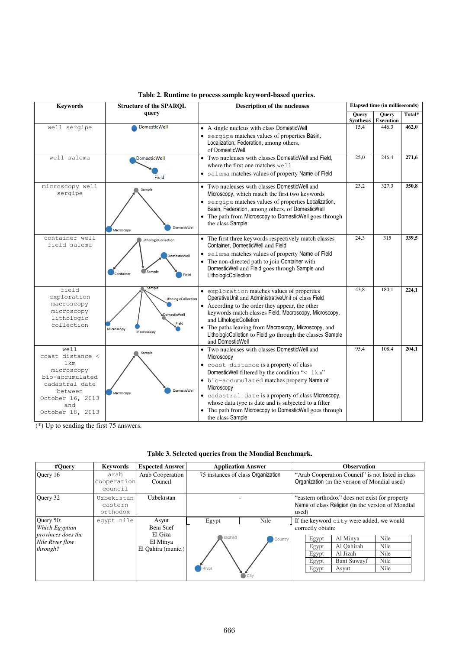| <b>Keywords</b>                                                                                                                                            | <b>Structure of the SPAROL</b>                                                      | Lable 2. Kuntille to process sample Key word-based queries.<br><b>Description of the nucleuses</b>                                                                                                                                                                                                                                                                                                                  | Elapsed time (in milliseconds) |                           |        |
|------------------------------------------------------------------------------------------------------------------------------------------------------------|-------------------------------------------------------------------------------------|---------------------------------------------------------------------------------------------------------------------------------------------------------------------------------------------------------------------------------------------------------------------------------------------------------------------------------------------------------------------------------------------------------------------|--------------------------------|---------------------------|--------|
|                                                                                                                                                            | query                                                                               |                                                                                                                                                                                                                                                                                                                                                                                                                     | Query<br><b>Synthesis</b>      | Query<br><b>Execution</b> | Total* |
| well sergipe                                                                                                                                               | <b>DomesticWell</b>                                                                 | • A single nucleus with class DomesticWell                                                                                                                                                                                                                                                                                                                                                                          | 15,4                           | 446.3                     | 462,0  |
|                                                                                                                                                            |                                                                                     | • sergipe matches values of properties Basin,<br>Localization, Federation, among others,<br>of DomesticWell                                                                                                                                                                                                                                                                                                         |                                |                           |        |
| well salema                                                                                                                                                | <b>DomesticWell</b><br>Field                                                        | • Two nucleuses with classes DomesticWell and Field.<br>where the first one matches $we$ $\ge$ $\ge$ $\ge$<br>• salema matches values of property Name of Field                                                                                                                                                                                                                                                     | 25.0                           | 246.4                     | 271,6  |
| microscopy well<br>sergipe                                                                                                                                 | Sample<br><b>DomesticWell</b><br>Microscopy                                         | • Two nucleuses with classes DomesticWell and<br>Microscopy, which match the first two keywords<br>• sergipe matches values of properties Localization,<br>Basin, Federation, among others, of DomesticWell<br>• The path from Microscopy to DomesticWell goes through<br>the class Sample                                                                                                                          | 23,2                           | 327,3                     | 350,8  |
| container well<br>field salema                                                                                                                             | LithologicCollection<br>DomesticWell<br>Sample<br>Container                         | • The first three keywords respectively match classes<br>Container, DomesticWell and Field<br>• salema matches values of property Name of Field<br>• The non-directed path to join Container with<br>DomesticWell and Field goes through Sample and<br>LithologicCollection                                                                                                                                         | 24.3                           | 315                       | 339,5  |
| field<br>exploration<br>macroscopy<br>microscopy<br>lithologic<br>collection                                                                               | Sample<br>LithologicCollection<br>DomesticWell<br>Field<br>Microscopy<br>Macroscopy | • exploration matches values of properties<br>OperativeUnit and AdministrativeUnit of class Field<br>• According to the order they appear, the other<br>keywords match classes Field, Macroscopy, Microscopy,<br>and LithologicColletion<br>• The paths leaving from Macroscopy, Microscopy, and<br>LithologicColletion to Field go through the classes Sample<br>and DomesticWell                                  | 43.8                           | 180.1                     | 224,1  |
| well<br>coast distance <<br>$1 \,\mathrm{km}$<br>microscopy<br>bio-accumulated<br>cadastral date<br>between<br>October 16, 2013<br>and<br>October 18, 2013 | Sample<br><b>DomesticWell</b><br>Microscopy                                         | • Two nucleuses with classes DomesticWell and<br>Microscopy<br>• coast distance is a property of class<br>DomesticWell filtered by the condition "< 1 km"<br>· bio-accumulated matches property Name of<br>Microscopy<br>• cadastral date is a property of class Microscopy,<br>whose data type is date and is subjected to a filter<br>• The path from Microscopy to DomesticWell goes through<br>the class Sample | 95.4                           | 108,4                     | 204,1  |

**Table 2. Runtime to process sample keyword-based queries.** 

(\*) Up to sending the first 75 answers.

| Table 3. Selected queries from the Mondial Benchmark. |  |  |  |
|-------------------------------------------------------|--|--|--|
|-------------------------------------------------------|--|--|--|

| #Ouery                                                                           | <b>Keywords</b>                   | <b>Expected Answer</b>                                          | <b>Application Answer</b>                            | <b>Observation</b>                                                                                                                                                                                               |
|----------------------------------------------------------------------------------|-----------------------------------|-----------------------------------------------------------------|------------------------------------------------------|------------------------------------------------------------------------------------------------------------------------------------------------------------------------------------------------------------------|
| Query 16                                                                         | arab<br>cooperation<br>council    | Arab Cooperation<br>Council                                     | 75 instances of class Organization                   | "Arab Cooperation Council" is not listed in class<br>Organization (in the version of Mondial used)                                                                                                               |
| Query 32                                                                         | Uzbekistan<br>eastern<br>orthodox | Uzbekistan                                                      |                                                      | "eastern orthodox" does not exist for property<br>Name of class Religion (in the version of Mondial<br>used)                                                                                                     |
| Query 50:<br>Which Egyptian<br>provinces does the<br>Nile River flow<br>through? | eqypt nile                        | Asyut<br>Beni Suef<br>El Giza<br>El Minya<br>El Qahira (munic.) | Nile<br>Egypt<br>located<br>Country<br>River<br>City | If the keyword city were added, we would<br>correctly obtain:<br>Egypt<br>Al Minya<br>Nile<br>Al Qahirah<br>Nile<br>Egypt<br>Al Jizah<br>Nile<br>Egypt<br>Nile<br>Egypt<br>Bani Suwayf<br>Nile<br>Egypt<br>Asyut |